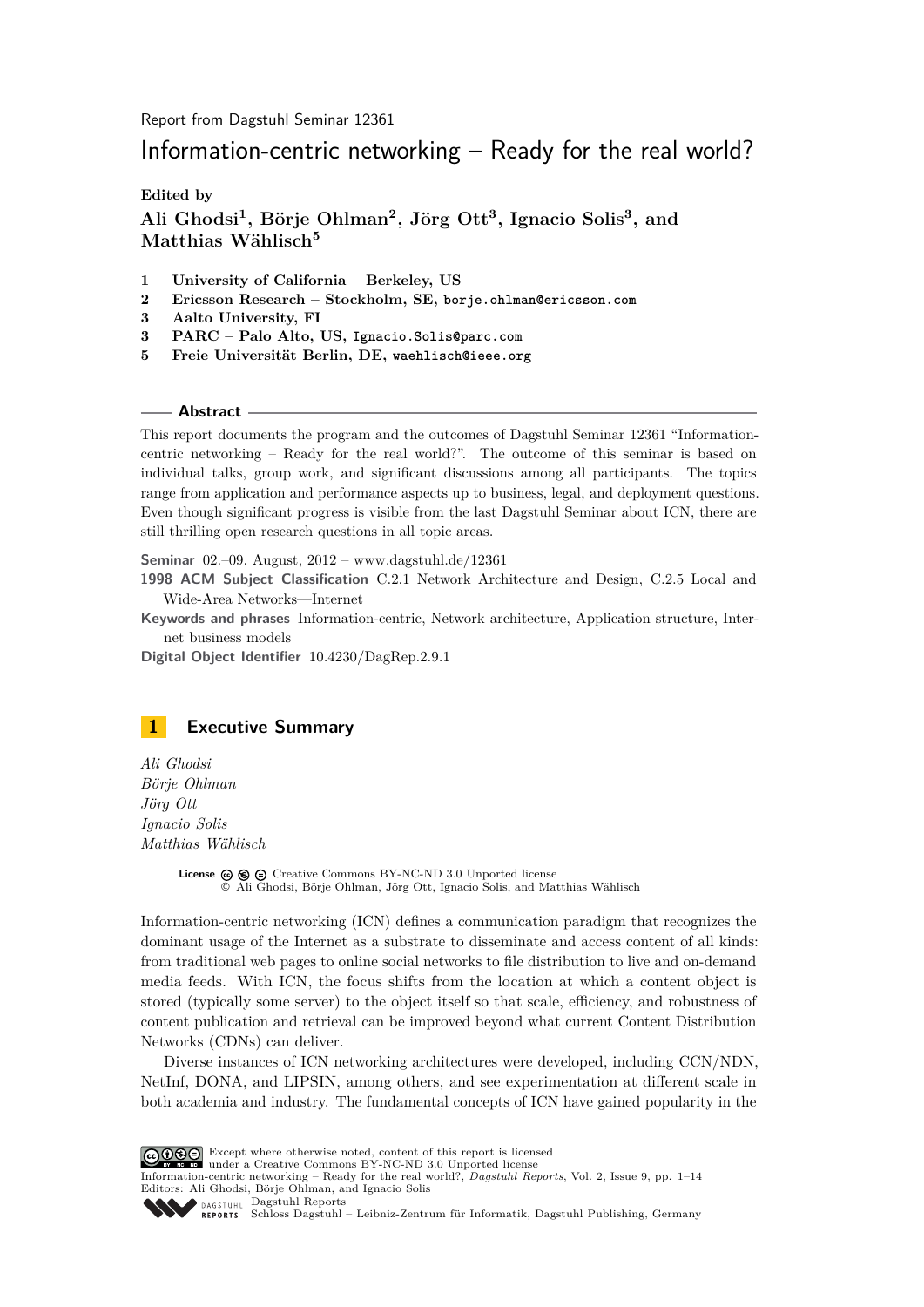Report from Dagstuhl Seminar 12361

# Information-centric networking – Ready for the real world?

**Edited by**

**Ali Ghodsi<sup>1</sup> , Börje Ohlman<sup>2</sup> , Jörg Ott<sup>3</sup> , Ignacio Solis<sup>3</sup> , and Matthias Wählisch<sup>5</sup>**

- **1 University of California Berkeley, US**
- **2 Ericsson Research Stockholm, SE, borje.ohlman@ericsson.com**
- **3 Aalto University, FI**
- **3 PARC Palo Alto, US, Ignacio.Solis@parc.com**
- **5 Freie Universität Berlin, DE, waehlisch@ieee.org**

#### **Abstract**

This report documents the program and the outcomes of Dagstuhl Seminar 12361 "Informationcentric networking – Ready for the real world?". The outcome of this seminar is based on individual talks, group work, and significant discussions among all participants. The topics range from application and performance aspects up to business, legal, and deployment questions. Even though significant progress is visible from the last Dagstuhl Seminar about ICN, there are still thrilling open research questions in all topic areas.

**Seminar** 02.–09. August, 2012 – [www.dagstuhl.de/12361](http://www.dagstuhl.de/12361)

**1998 ACM Subject Classification** C.2.1 Network Architecture and Design, C.2.5 Local and Wide-Area Networks—Internet

**Keywords and phrases** Information-centric, Network architecture, Application structure, Internet business models

**Digital Object Identifier** [10.4230/DagRep.2.9.1](http://dx.doi.org/10.4230/DagRep.2.9.1)

<span id="page-0-0"></span>

*Ali Ghodsi Börje Ohlman Jörg Ott Ignacio Solis Matthias Wählisch*

> License  $\circledcirc \circledcirc \circ$  [Creative Commons BY-NC-ND 3.0 Unported](http://creativecommons.org/licenses/by-nc-nd/3.0/) license © [Ali Ghodsi, Börje Ohlman, Jörg Ott, Ignacio Solis, and Matthias Wählisch](#page-0-0)

Information-centric networking (ICN) defines a communication paradigm that recognizes the dominant usage of the Internet as a substrate to disseminate and access content of all kinds: from traditional web pages to online social networks to file distribution to live and on-demand media feeds. With ICN, the focus shifts from the location at which a content object is stored (typically some server) to the object itself so that scale, efficiency, and robustness of content publication and retrieval can be improved beyond what current Content Distribution Networks (CDNs) can deliver.

Diverse instances of ICN networking architectures were developed, including CCN/NDN, NetInf, DONA, and LIPSIN, among others, and see experimentation at different scale in both academia and industry. The fundamental concepts of ICN have gained popularity in the

Except where otherwise noted, content of this report is licensed under a [Creative Commons BY-NC-ND 3.0 Unported](http://creativecommons.org/licenses/by-nc-nd/3.0/) license

Information-centric networking – Ready for the real world?, *Dagstuhl Reports*, Vol. 2, Issue 9, pp. 1[–14](#page-13-0) Editors: Ali Ghodsi, Börje Ohlman, and Ignacio Solis



[Dagstuhl Reports](http://www.dagstuhl.de/dagstuhl-reports/) [Schloss Dagstuhl – Leibniz-Zentrum für Informatik, Dagstuhl Publishing, Germany](http://www.dagstuhl.de)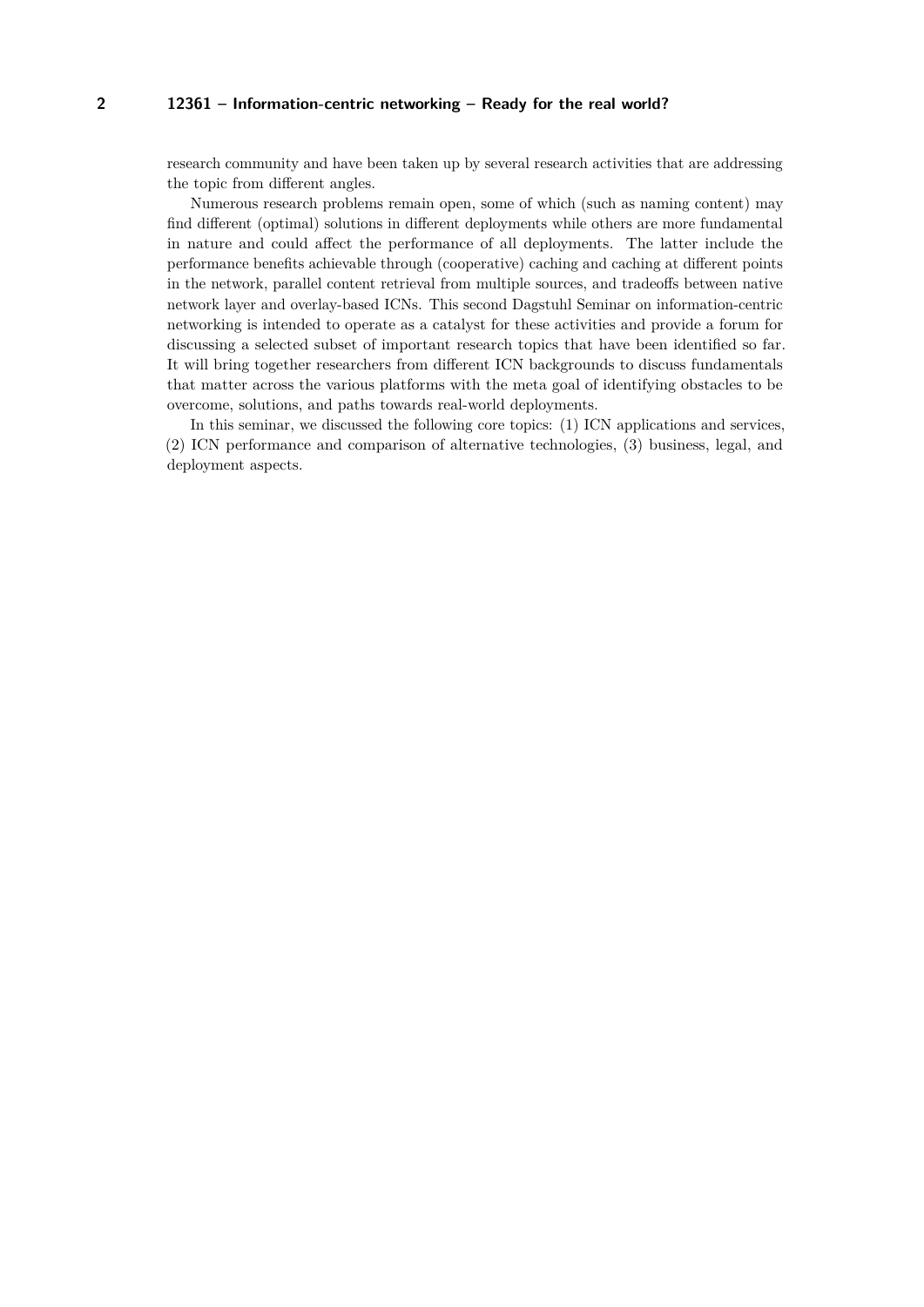#### **2 12361 – Information-centric networking – Ready for the real world?**

research community and have been taken up by several research activities that are addressing the topic from different angles.

Numerous research problems remain open, some of which (such as naming content) may find different (optimal) solutions in different deployments while others are more fundamental in nature and could affect the performance of all deployments. The latter include the performance benefits achievable through (cooperative) caching and caching at different points in the network, parallel content retrieval from multiple sources, and tradeoffs between native network layer and overlay-based ICNs. This second Dagstuhl Seminar on information-centric networking is intended to operate as a catalyst for these activities and provide a forum for discussing a selected subset of important research topics that have been identified so far. It will bring together researchers from different ICN backgrounds to discuss fundamentals that matter across the various platforms with the meta goal of identifying obstacles to be overcome, solutions, and paths towards real-world deployments.

In this seminar, we discussed the following core topics: (1) ICN applications and services, (2) ICN performance and comparison of alternative technologies, (3) business, legal, and deployment aspects.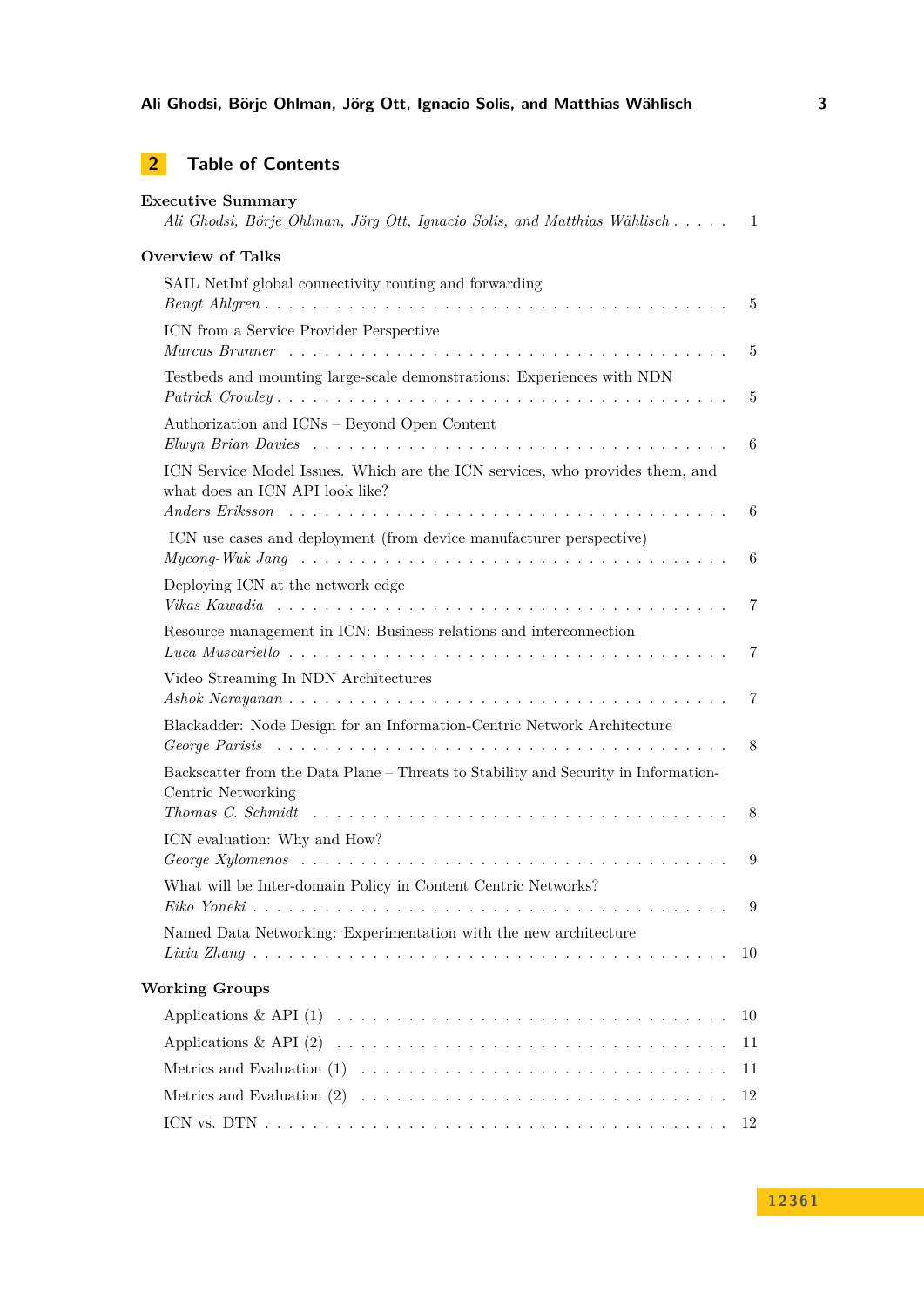**Ali Ghodsi, Börje Ohlman, Jörg Ott, Ignacio Solis, and Matthias Wählisch 3**

# **2 Table of Contents**

| <b>Executive Summary</b><br>Ali Ghodsi, Börje Ohlman, Jörg Ott, Ignacio Solis, and Matthias Wählisch                                                      | $\mathbf{1}$   |
|-----------------------------------------------------------------------------------------------------------------------------------------------------------|----------------|
| <b>Overview of Talks</b>                                                                                                                                  |                |
| SAIL NetInf global connectivity routing and forwarding                                                                                                    |                |
|                                                                                                                                                           | 5              |
| ICN from a Service Provider Perspective                                                                                                                   | 5              |
| Testbeds and mounting large-scale demonstrations: Experiences with NDN                                                                                    | 5              |
| Authorization and ICNs - Beyond Open Content                                                                                                              | 6              |
| ICN Service Model Issues. Which are the ICN services, who provides them, and<br>what does an ICN API look like?                                           |                |
| ICN use cases and deployment (from device manufacturer perspective)                                                                                       | 6              |
|                                                                                                                                                           | 6              |
| Deploying ICN at the network edge<br>Vikas Kawadia                                                                                                        | 7              |
| Resource management in ICN: Business relations and interconnection                                                                                        | 7              |
| Video Streaming In NDN Architectures<br>$Ashok Narayanan \dots \dots \dots \dots \dots \dots \dots \dots \dots \dots \dots \dots \dots \dots \dots \dots$ | 7              |
| Blackadder: Node Design for an Information-Centric Network Architecture                                                                                   | 8              |
| Backscatter from the Data Plane – Threats to Stability and Security in Information-<br>Centric Networking                                                 |                |
| Thomas C. Schmidt $\ldots \ldots \ldots \ldots \ldots \ldots \ldots \ldots \ldots \ldots \ldots \ldots \ldots$<br>ICN evaluation: Why and How?            | 8              |
| George Xylomenos $\ldots \ldots \ldots \ldots \ldots \ldots \ldots \ldots \ldots \ldots \ldots \ldots \ldots$                                             | 9              |
| What will be Inter-domain Policy in Content Centric Networks?                                                                                             | $\overline{9}$ |
| Named Data Networking: Experimentation with the new architecture                                                                                          | 10             |
| <b>Working Groups</b>                                                                                                                                     |                |
|                                                                                                                                                           | 10             |
|                                                                                                                                                           | 11             |
|                                                                                                                                                           | 11             |
|                                                                                                                                                           | 12             |
|                                                                                                                                                           | 12             |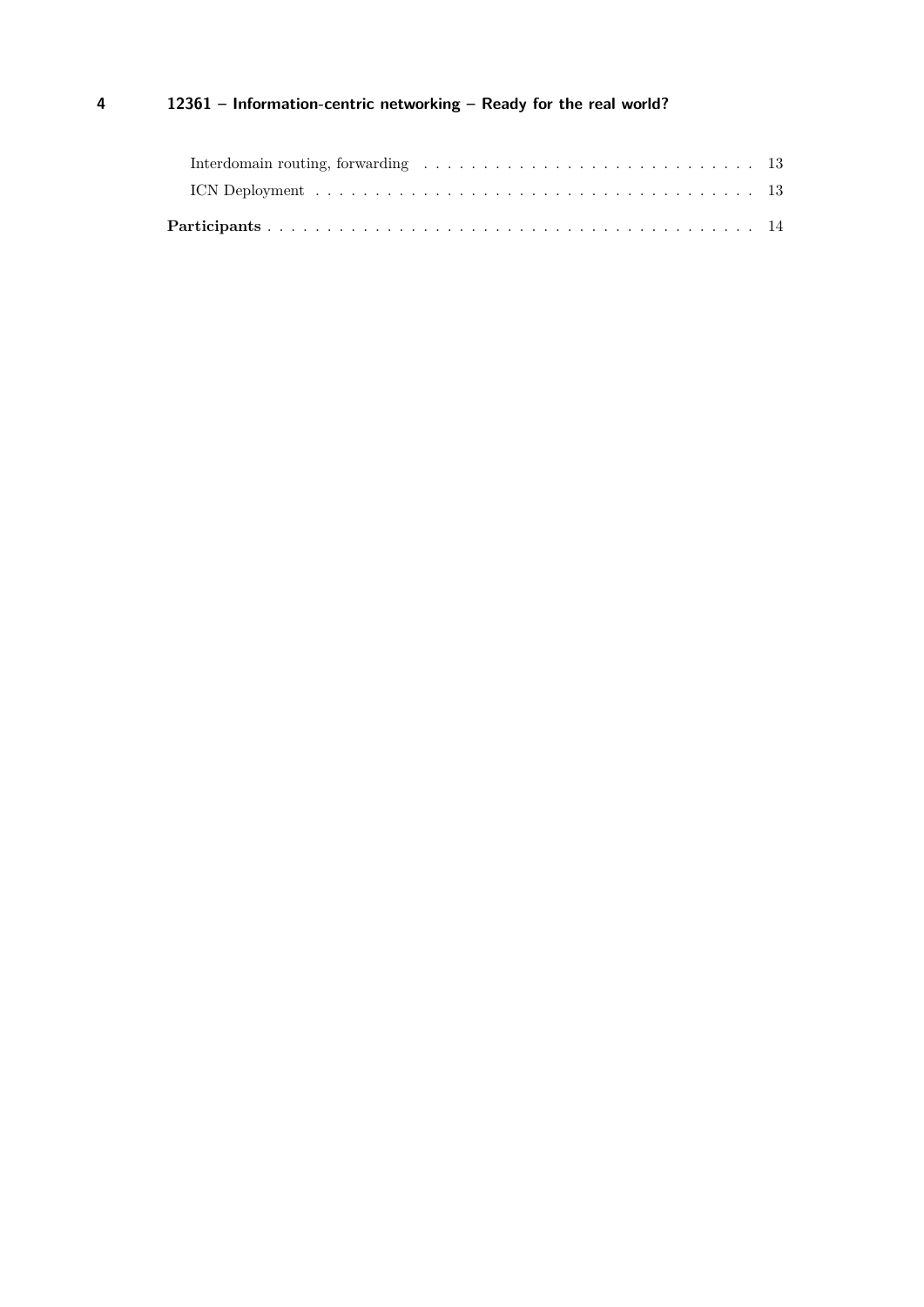# **4 12361 – Information-centric networking – Ready for the real world?**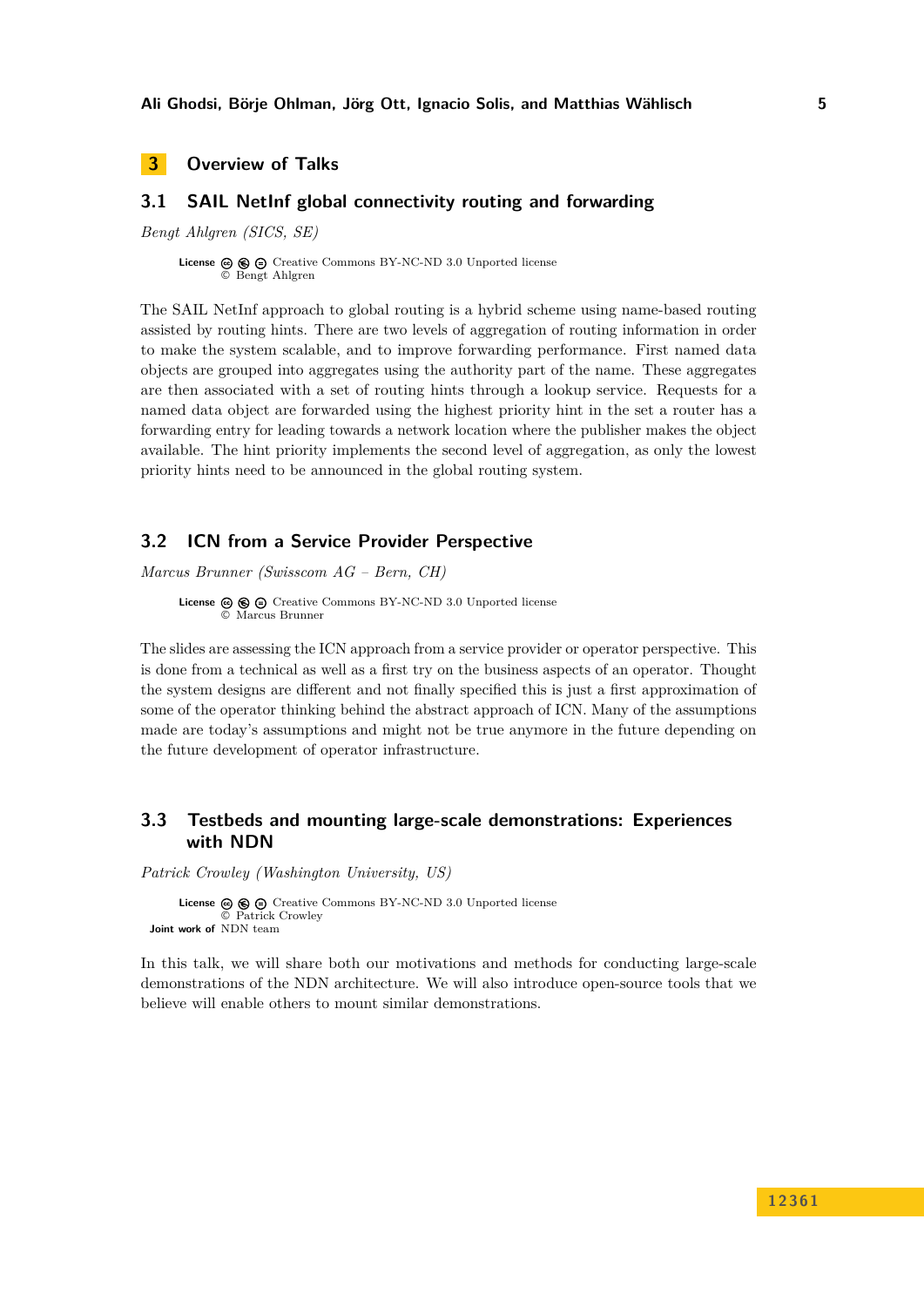# <span id="page-4-0"></span>**3 Overview of Talks**

# <span id="page-4-1"></span>**3.1 SAIL NetInf global connectivity routing and forwarding**

*Bengt Ahlgren (SICS, SE)*

**License**  $\circledcirc$   $\circledcirc$   $\circlearrowright$  [Creative Commons BY-NC-ND 3.0 Unported](http://creativecommons.org/licenses/by-nc-nd/3.0/) license © [Bengt Ahlgren](#page-4-1)

The SAIL NetInf approach to global routing is a hybrid scheme using name-based routing assisted by routing hints. There are two levels of aggregation of routing information in order to make the system scalable, and to improve forwarding performance. First named data objects are grouped into aggregates using the authority part of the name. These aggregates are then associated with a set of routing hints through a lookup service. Requests for a named data object are forwarded using the highest priority hint in the set a router has a forwarding entry for leading towards a network location where the publisher makes the object available. The hint priority implements the second level of aggregation, as only the lowest priority hints need to be announced in the global routing system.

# <span id="page-4-2"></span>**3.2 ICN from a Service Provider Perspective**

*Marcus Brunner (Swisscom AG – Bern, CH)*

**License**  $\textcircled{e}$   $\textcircled{e}$  [Creative Commons BY-NC-ND 3.0 Unported](http://creativecommons.org/licenses/by-nc-nd/3.0/) license © [Marcus Brunner](#page-4-2)

The slides are assessing the ICN approach from a service provider or operator perspective. This is done from a technical as well as a first try on the business aspects of an operator. Thought the system designs are different and not finally specified this is just a first approximation of some of the operator thinking behind the abstract approach of ICN. Many of the assumptions made are today's assumptions and might not be true anymore in the future depending on the future development of operator infrastructure.

# <span id="page-4-3"></span>**3.3 Testbeds and mounting large-scale demonstrations: Experiences with NDN**

*Patrick Crowley (Washington University, US)*

**License**  $\textcircled{e}$   $\textcircled{e}$   $\textcircled{e}$  [Creative Commons BY-NC-ND 3.0 Unported](http://creativecommons.org/licenses/by-nc-nd/3.0/) license © [Patrick Crowley](#page-4-3) **Joint work of** NDN team

In this talk, we will share both our motivations and methods for conducting large-scale demonstrations of the NDN architecture. We will also introduce open-source tools that we believe will enable others to mount similar demonstrations.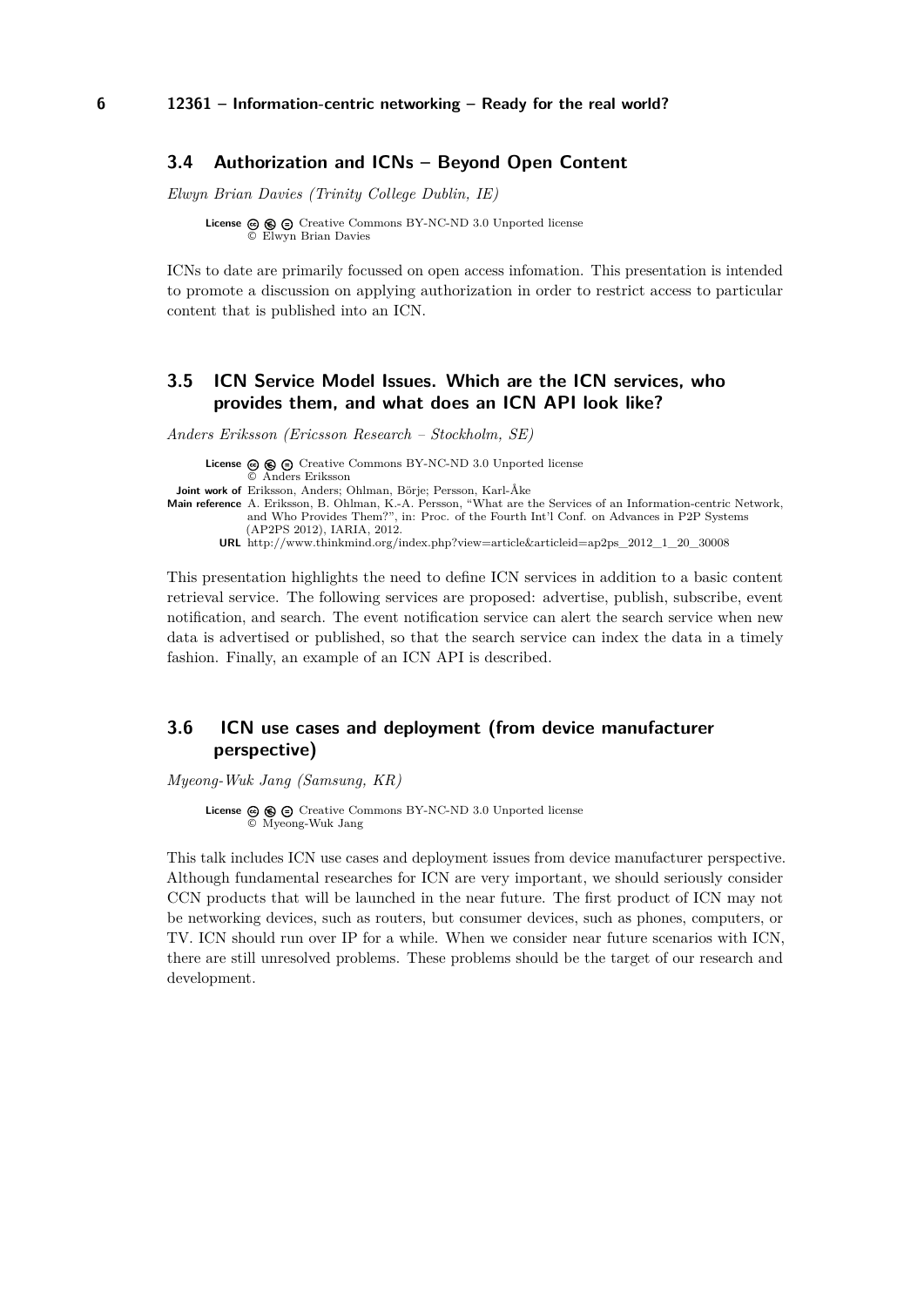### <span id="page-5-0"></span>**3.4 Authorization and ICNs – Beyond Open Content**

*Elwyn Brian Davies (Trinity College Dublin, IE)*

**License**  $\textcircled{e}$   $\textcircled{e}$   $\textcircled{f}$  [Creative Commons BY-NC-ND 3.0 Unported](http://creativecommons.org/licenses/by-nc-nd/3.0/) license © [Elwyn Brian Davies](#page-5-0)

ICNs to date are primarily focussed on open access infomation. This presentation is intended to promote a discussion on applying authorization in order to restrict access to particular content that is published into an ICN.

# <span id="page-5-1"></span>**3.5 ICN Service Model Issues. Which are the ICN services, who provides them, and what does an ICN API look like?**

*Anders Eriksson (Ericsson Research – Stockholm, SE)*

**License**  $\textcircled{\textcircled{\tiny{\textsf{G}}}}$   $\textcircled{\textcircled{\textcircled{\textsf{C}}}}$  [Creative Commons BY-NC-ND 3.0 Unported](http://creativecommons.org/licenses/by-nc-nd/3.0/) license © [Anders Eriksson](#page-5-1) **Joint work of** Eriksson, Anders; Ohlman, Börje; Persson, Karl-Åke **Main reference** [A. Eriksson, B. Ohlman, K.-A. Persson, "What are the Services of an Information-centric Network,](http://www.thinkmind.org/index.php?view=article&articleid=ap2ps_2012_1_20_30008) [and Who Provides Them?", in: Proc. of the Fourth Int'l Conf. on Advances in P2P Systems](http://www.thinkmind.org/index.php?view=article&articleid=ap2ps_2012_1_20_30008) [\(AP2PS 2012\), IARIA, 2012.](http://www.thinkmind.org/index.php?view=article&articleid=ap2ps_2012_1_20_30008) **URL** [http://www.thinkmind.org/index.php?view=article&articleid=ap2ps\\_2012\\_1\\_20\\_30008](http://www.thinkmind.org/index.php?view=article&articleid=ap2ps_2012_1_20_30008)

This presentation highlights the need to define ICN services in addition to a basic content retrieval service. The following services are proposed: advertise, publish, subscribe, event notification, and search. The event notification service can alert the search service when new data is advertised or published, so that the search service can index the data in a timely fashion. Finally, an example of an ICN API is described.

# <span id="page-5-2"></span>**3.6 ICN use cases and deployment (from device manufacturer perspective)**

*Myeong-Wuk Jang (Samsung, KR)*

License  $\circledcirc$   $\circledcirc$   $\circledcirc$  [Creative Commons BY-NC-ND 3.0 Unported](http://creativecommons.org/licenses/by-nc-nd/3.0/) license © [Myeong-Wuk Jang](#page-5-2)

This talk includes ICN use cases and deployment issues from device manufacturer perspective. Although fundamental researches for ICN are very important, we should seriously consider CCN products that will be launched in the near future. The first product of ICN may not be networking devices, such as routers, but consumer devices, such as phones, computers, or TV. ICN should run over IP for a while. When we consider near future scenarios with ICN, there are still unresolved problems. These problems should be the target of our research and development.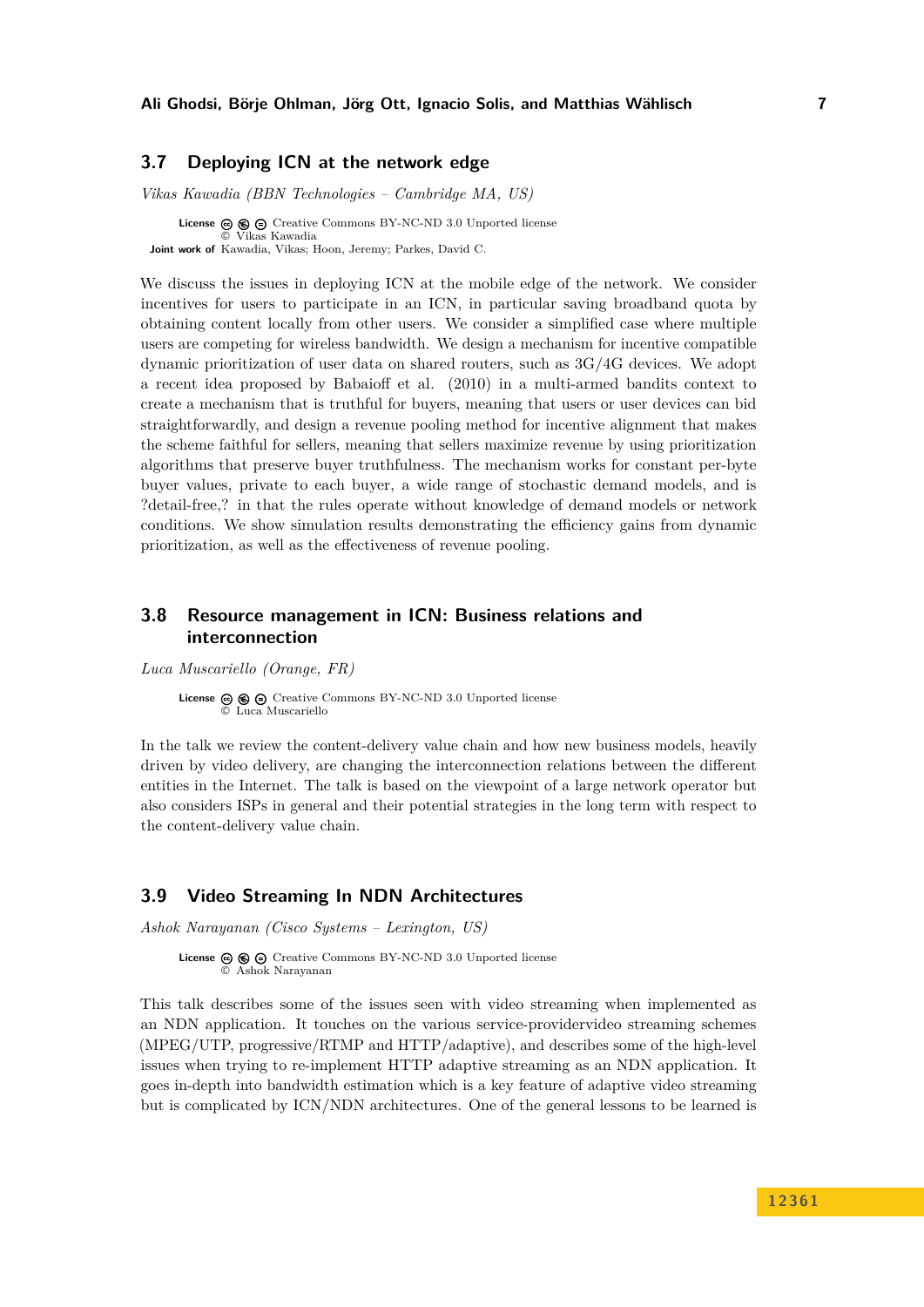# <span id="page-6-0"></span>**3.7 Deploying ICN at the network edge**

*Vikas Kawadia (BBN Technologies – Cambridge MA, US)*

**License**  $\textcircled{e}$   $\textcircled{e}$   $\textcircled{e}$  [Creative Commons BY-NC-ND 3.0 Unported](http://creativecommons.org/licenses/by-nc-nd/3.0/) license © [Vikas Kawadia](#page-6-0) **Joint work of** Kawadia, Vikas; Hoon, Jeremy; Parkes, David C.

We discuss the issues in deploying ICN at the mobile edge of the network. We consider incentives for users to participate in an ICN, in particular saving broadband quota by obtaining content locally from other users. We consider a simplified case where multiple users are competing for wireless bandwidth. We design a mechanism for incentive compatible dynamic prioritization of user data on shared routers, such as 3G/4G devices. We adopt a recent idea proposed by Babaioff et al. (2010) in a multi-armed bandits context to create a mechanism that is truthful for buyers, meaning that users or user devices can bid straightforwardly, and design a revenue pooling method for incentive alignment that makes the scheme faithful for sellers, meaning that sellers maximize revenue by using prioritization algorithms that preserve buyer truthfulness. The mechanism works for constant per-byte buyer values, private to each buyer, a wide range of stochastic demand models, and is ?detail-free,? in that the rules operate without knowledge of demand models or network conditions. We show simulation results demonstrating the efficiency gains from dynamic prioritization, as well as the effectiveness of revenue pooling.

# <span id="page-6-1"></span>**3.8 Resource management in ICN: Business relations and interconnection**

*Luca Muscariello (Orange, FR)*

**License**  $\odot$   $\odot$   $\odot$  [Creative Commons BY-NC-ND 3.0 Unported](http://creativecommons.org/licenses/by-nc-nd/3.0/) license © [Luca Muscariello](#page-6-1)

In the talk we review the content-delivery value chain and how new business models, heavily driven by video delivery, are changing the interconnection relations between the different entities in the Internet. The talk is based on the viewpoint of a large network operator but also considers ISPs in general and their potential strategies in the long term with respect to the content-delivery value chain.

# <span id="page-6-2"></span>**3.9 Video Streaming In NDN Architectures**

*Ashok Narayanan (Cisco Systems – Lexington, US)*

This talk describes some of the issues seen with video streaming when implemented as an NDN application. It touches on the various service-providervideo streaming schemes (MPEG/UTP, progressive/RTMP and HTTP/adaptive), and describes some of the high-level issues when trying to re-implement HTTP adaptive streaming as an NDN application. It goes in-depth into bandwidth estimation which is a key feature of adaptive video streaming but is complicated by ICN/NDN architectures. One of the general lessons to be learned is

License  $\circledcirc \circledcirc \circ$  [Creative Commons BY-NC-ND 3.0 Unported](http://creativecommons.org/licenses/by-nc-nd/3.0/) license © [Ashok Narayanan](#page-6-2)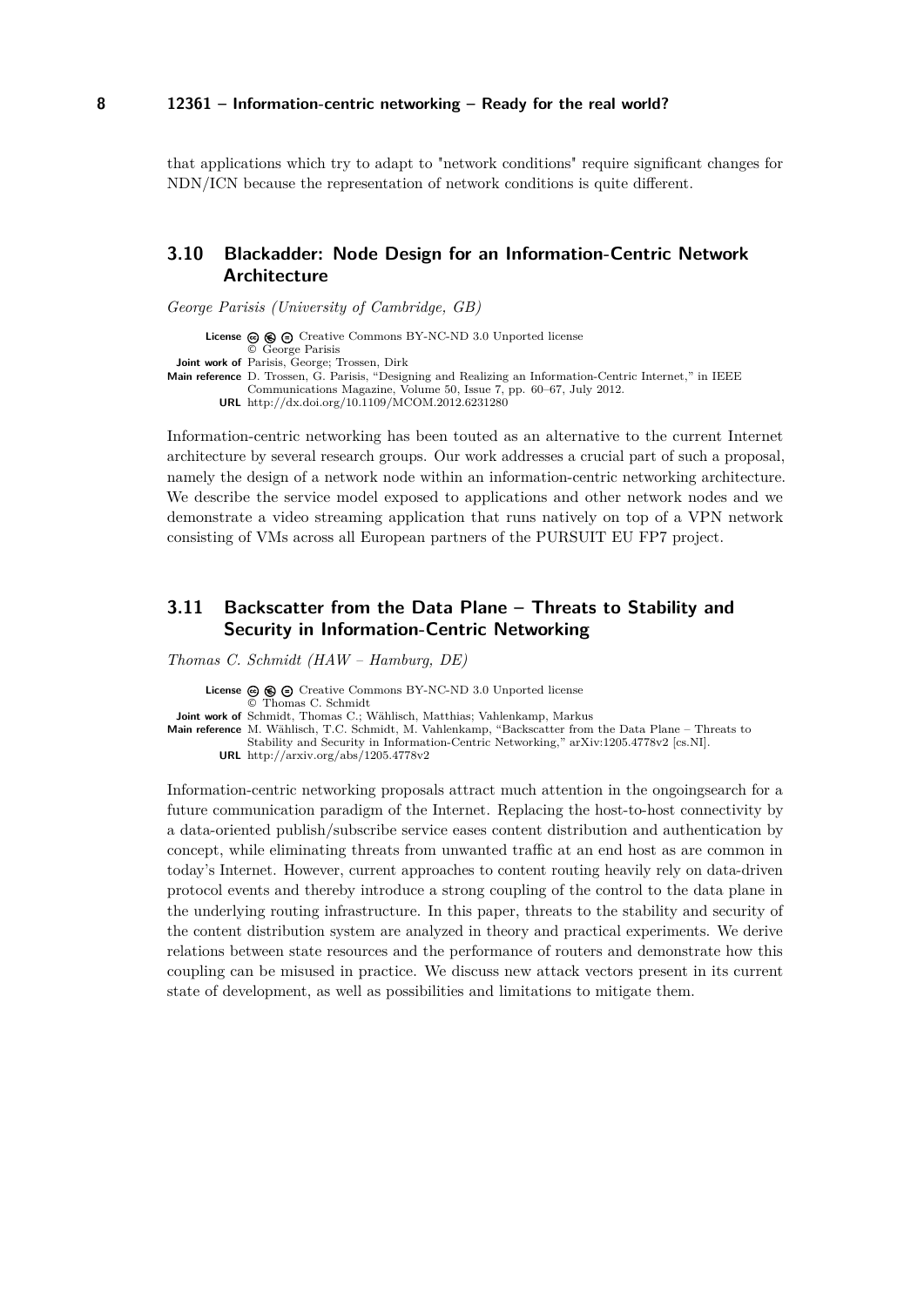that applications which try to adapt to "network conditions" require significant changes for NDN/ICN because the representation of network conditions is quite different.

# <span id="page-7-0"></span>**3.10 Blackadder: Node Design for an Information-Centric Network Architecture**

*George Parisis (University of Cambridge, GB)*

License  $\circledcirc$   $\circledcirc$   $\circledcirc$  [Creative Commons BY-NC-ND 3.0 Unported](http://creativecommons.org/licenses/by-nc-nd/3.0/) license © [George Parisis](#page-7-0) **Joint work of** Parisis, George; Trossen, Dirk **Main reference** [D. Trossen, G. Parisis, "Designing and Realizing an Information-Centric Internet," in IEEE](http://dx.doi.org/10.1109/MCOM.2012.6231280) [Communications Magazine, Volume 50, Issue 7, pp. 60–67, July 2012.](http://dx.doi.org/10.1109/MCOM.2012.6231280) **URL** <http://dx.doi.org/10.1109/MCOM.2012.6231280>

Information-centric networking has been touted as an alternative to the current Internet architecture by several research groups. Our work addresses a crucial part of such a proposal, namely the design of a network node within an information-centric networking architecture. We describe the service model exposed to applications and other network nodes and we demonstrate a video streaming application that runs natively on top of a VPN network consisting of VMs across all European partners of the PURSUIT EU FP7 project.

# <span id="page-7-1"></span>**3.11 Backscatter from the Data Plane – Threats to Stability and Security in Information-Centric Networking**

*Thomas C. Schmidt (HAW – Hamburg, DE)*

**License**  $\circledcirc$   $\circledcirc$   $\circlearrowright$  [Creative Commons BY-NC-ND 3.0 Unported](http://creativecommons.org/licenses/by-nc-nd/3.0/) license © [Thomas C. Schmidt](#page-7-1) **Joint work of** Schmidt, Thomas C.; Wählisch, Matthias; Vahlenkamp, Markus **Main reference** [M. Wählisch, T.C. Schmidt, M. Vahlenkamp, "Backscatter from the Data Plane – Threats to](http://arxiv.org/abs/1205.4778v2) [Stability and Security in Information-Centric Networking," arXiv:1205.4778v2 \[cs.NI\].](http://arxiv.org/abs/1205.4778v2) **URL** <http://arxiv.org/abs/1205.4778v2>

Information-centric networking proposals attract much attention in the ongoingsearch for a future communication paradigm of the Internet. Replacing the host-to-host connectivity by a data-oriented publish/subscribe service eases content distribution and authentication by concept, while eliminating threats from unwanted traffic at an end host as are common in today's Internet. However, current approaches to content routing heavily rely on data-driven protocol events and thereby introduce a strong coupling of the control to the data plane in the underlying routing infrastructure. In this paper, threats to the stability and security of the content distribution system are analyzed in theory and practical experiments. We derive relations between state resources and the performance of routers and demonstrate how this coupling can be misused in practice. We discuss new attack vectors present in its current state of development, as well as possibilities and limitations to mitigate them.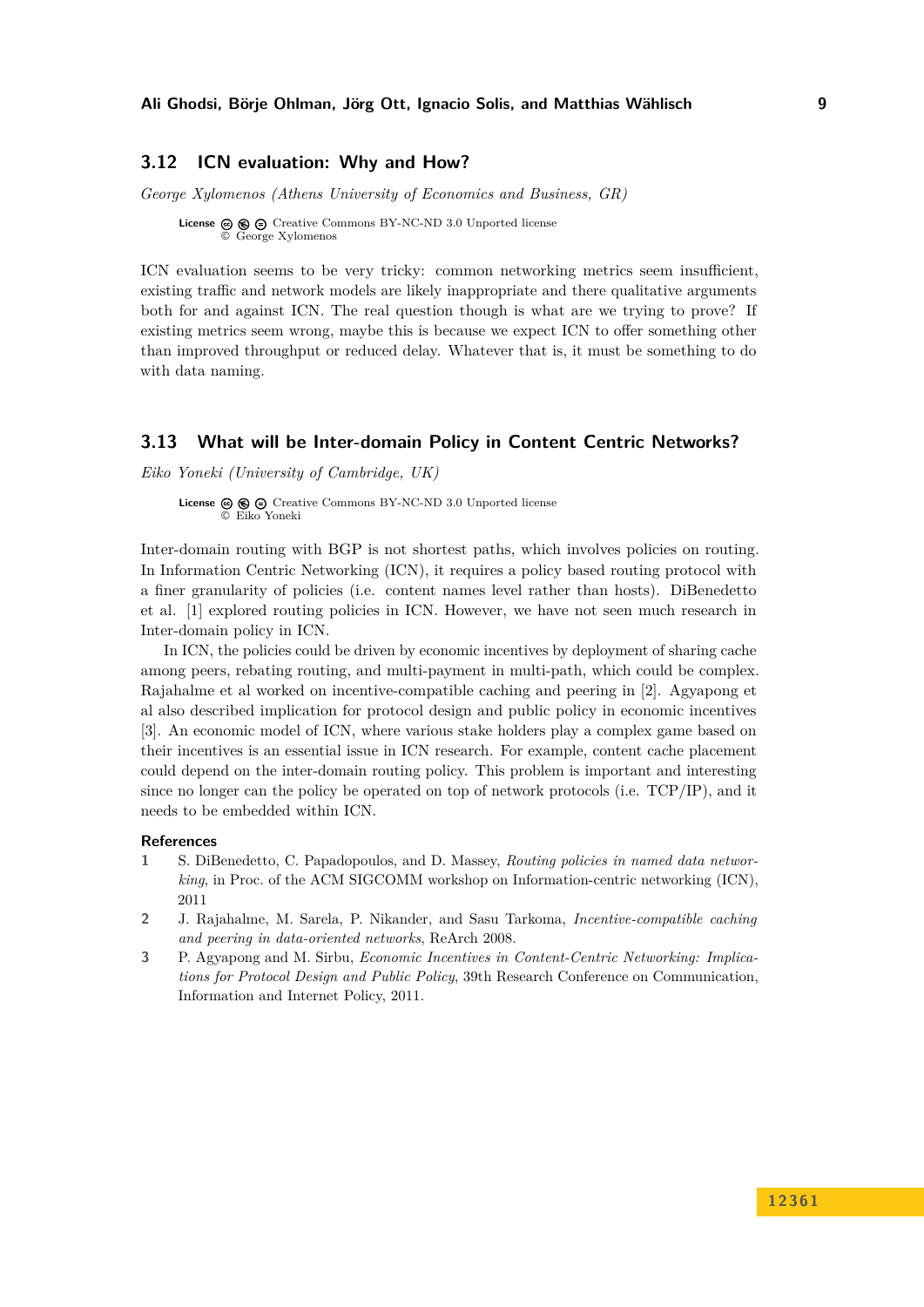### <span id="page-8-0"></span>**3.12 ICN evaluation: Why and How?**

*George Xylomenos (Athens University of Economics and Business, GR)*

**License**  $\textcircled{e}$   $\textcircled{e}$   $\textcircled{e}$  [Creative Commons BY-NC-ND 3.0 Unported](http://creativecommons.org/licenses/by-nc-nd/3.0/) license © [George Xylomenos](#page-8-0)

ICN evaluation seems to be very tricky: common networking metrics seem insufficient, existing traffic and network models are likely inappropriate and there qualitative arguments both for and against ICN. The real question though is what are we trying to prove? If existing metrics seem wrong, maybe this is because we expect ICN to offer something other than improved throughput or reduced delay. Whatever that is, it must be something to do with data naming.

### <span id="page-8-1"></span>**3.13 What will be Inter-domain Policy in Content Centric Networks?**

*Eiko Yoneki (University of Cambridge, UK)*

**License**  $\textcircled{e}$   $\textcircled{e}$   $\textcircled{e}$  [Creative Commons BY-NC-ND 3.0 Unported](http://creativecommons.org/licenses/by-nc-nd/3.0/) license © [Eiko Yoneki](#page-8-1)

Inter-domain routing with BGP is not shortest paths, which involves policies on routing. In Information Centric Networking (ICN), it requires a policy based routing protocol with a finer granularity of policies (i.e. content names level rather than hosts). DiBenedetto et al. [\[1\]](#page-8-2) explored routing policies in ICN. However, we have not seen much research in Inter-domain policy in ICN.

In ICN, the policies could be driven by economic incentives by deployment of sharing cache among peers, rebating routing, and multi-payment in multi-path, which could be complex. Rajahalme et al worked on incentive-compatible caching and peering in [\[2\]](#page-8-3). Agyapong et al also described implication for protocol design and public policy in economic incentives [\[3\]](#page-8-4). An economic model of ICN, where various stake holders play a complex game based on their incentives is an essential issue in ICN research. For example, content cache placement could depend on the inter-domain routing policy. This problem is important and interesting since no longer can the policy be operated on top of network protocols (i.e. TCP/IP), and it needs to be embedded within ICN.

#### **References**

- <span id="page-8-2"></span>**1** S. DiBenedetto, C. Papadopoulos, and D. Massey, *Routing policies in named data networking*, in Proc. of the ACM SIGCOMM workshop on Information-centric networking (ICN), 2011
- <span id="page-8-3"></span>**2** J. Rajahalme, M. Sarela, P. Nikander, and Sasu Tarkoma, *Incentive-compatible caching and peering in data-oriented networks*, ReArch 2008.
- <span id="page-8-4"></span>**3** P. Agyapong and M. Sirbu, *Economic Incentives in Content-Centric Networking: Implications for Protocol Design and Public Policy*, 39th Research Conference on Communication, Information and Internet Policy, 2011.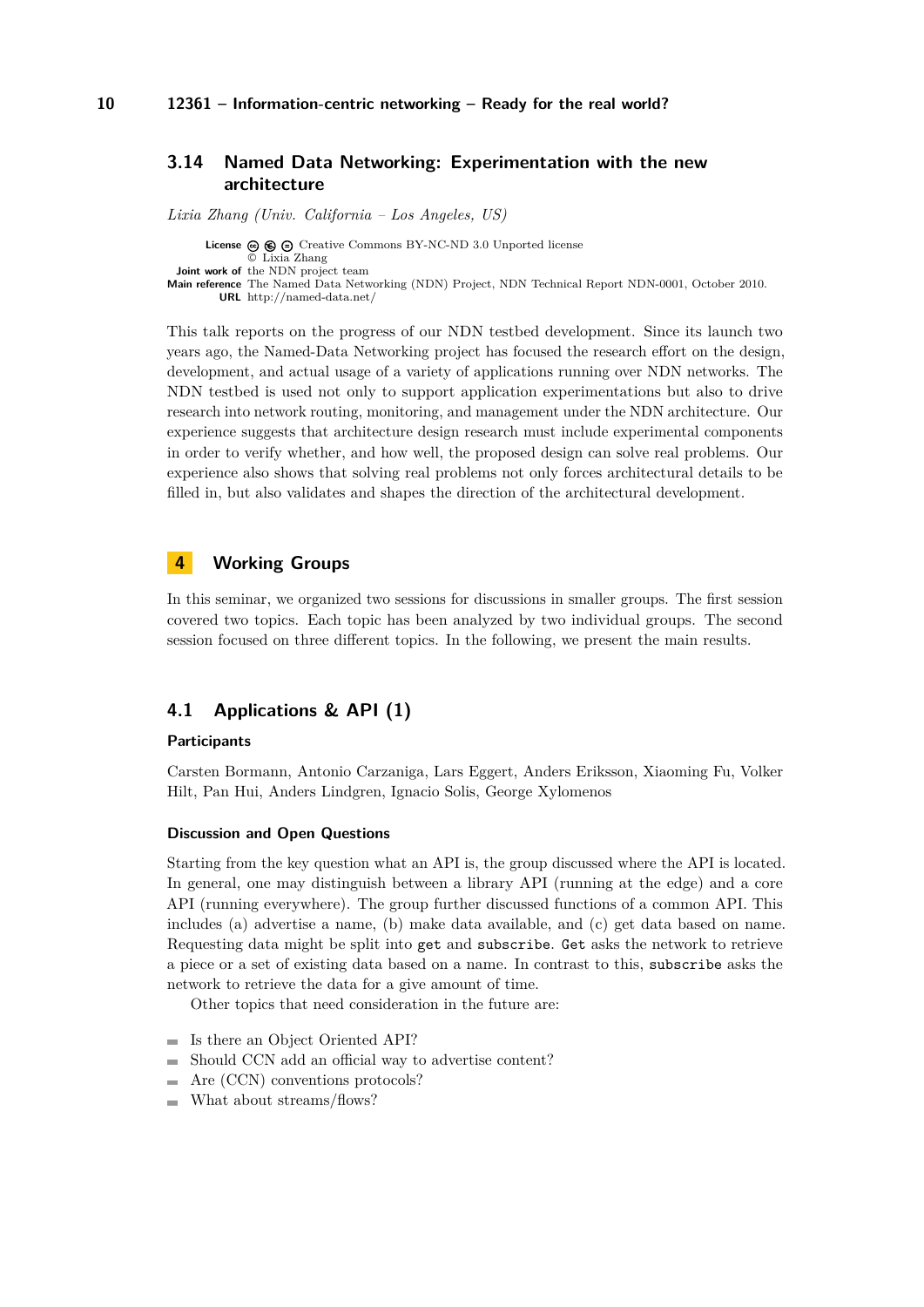## <span id="page-9-0"></span>**3.14 Named Data Networking: Experimentation with the new architecture**

*Lixia Zhang (Univ. California – Los Angeles, US)*

**License ⓒ <b>⑥ ⓒ** [Creative Commons BY-NC-ND 3.0 Unported](http://creativecommons.org/licenses/by-nc-nd/3.0/) license © [Lixia Zhang](#page-9-0) **Joint work of** the NDN project team **Main reference** [The Named Data Networking \(NDN\) Project, NDN Technical Report NDN-0001, October 2010.](http://named-data.net/) **URL** <http://named-data.net/>

This talk reports on the progress of our NDN testbed development. Since its launch two years ago, the Named-Data Networking project has focused the research effort on the design, development, and actual usage of a variety of applications running over NDN networks. The NDN testbed is used not only to support application experimentations but also to drive research into network routing, monitoring, and management under the NDN architecture. Our experience suggests that architecture design research must include experimental components in order to verify whether, and how well, the proposed design can solve real problems. Our experience also shows that solving real problems not only forces architectural details to be filled in, but also validates and shapes the direction of the architectural development.

## <span id="page-9-1"></span>**4 Working Groups**

In this seminar, we organized two sessions for discussions in smaller groups. The first session covered two topics. Each topic has been analyzed by two individual groups. The second session focused on three different topics. In the following, we present the main results.

# <span id="page-9-2"></span>**4.1 Applications & API (1)**

#### **Participants**

Carsten Bormann, Antonio Carzaniga, Lars Eggert, Anders Eriksson, Xiaoming Fu, Volker Hilt, Pan Hui, Anders Lindgren, Ignacio Solis, George Xylomenos

#### **Discussion and Open Questions**

Starting from the key question what an API is, the group discussed where the API is located. In general, one may distinguish between a library API (running at the edge) and a core API (running everywhere). The group further discussed functions of a common API. This includes (a) advertise a name, (b) make data available, and (c) get data based on name. Requesting data might be split into get and subscribe. Get asks the network to retrieve a piece or a set of existing data based on a name. In contrast to this, subscribe asks the network to retrieve the data for a give amount of time.

Other topics that need consideration in the future are:

- Is there an Object Oriented API?
- Should CCN add an official way to advertise content?  $\sim$
- Are (CCN) conventions protocols?
- What about streams/flows?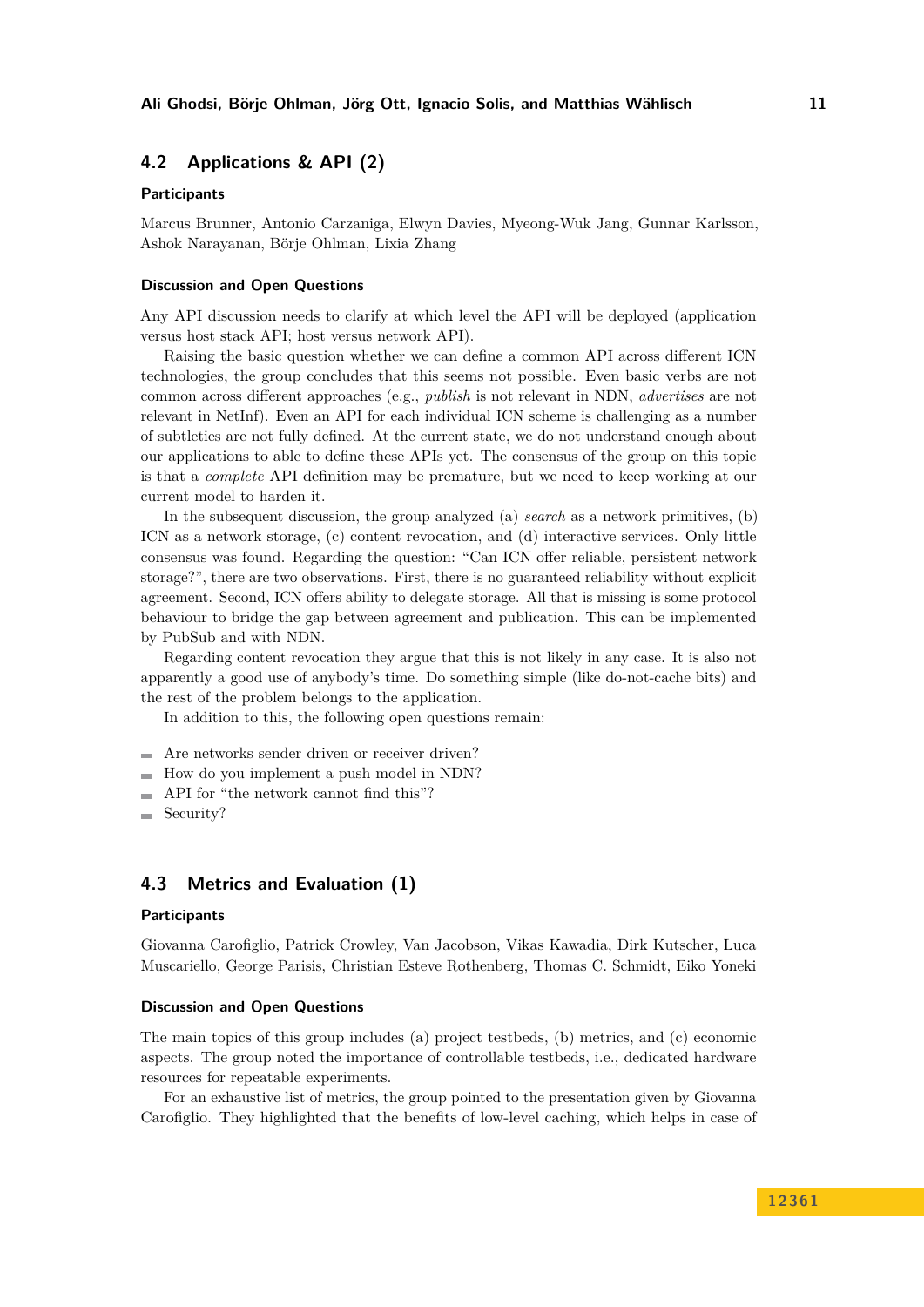# <span id="page-10-0"></span>**4.2 Applications & API (2)**

#### **Participants**

Marcus Brunner, Antonio Carzaniga, Elwyn Davies, Myeong-Wuk Jang, Gunnar Karlsson, Ashok Narayanan, Börje Ohlman, Lixia Zhang

#### **Discussion and Open Questions**

Any API discussion needs to clarify at which level the API will be deployed (application versus host stack API; host versus network API).

Raising the basic question whether we can define a common API across different ICN technologies, the group concludes that this seems not possible. Even basic verbs are not common across different approaches (e.g., *publish* is not relevant in NDN, *advertises* are not relevant in NetInf). Even an API for each individual ICN scheme is challenging as a number of subtleties are not fully defined. At the current state, we do not understand enough about our applications to able to define these APIs yet. The consensus of the group on this topic is that a *complete* API definition may be premature, but we need to keep working at our current model to harden it.

In the subsequent discussion, the group analyzed (a) *search* as a network primitives, (b) ICN as a network storage, (c) content revocation, and (d) interactive services. Only little consensus was found. Regarding the question: "Can ICN offer reliable, persistent network storage?", there are two observations. First, there is no guaranteed reliability without explicit agreement. Second, ICN offers ability to delegate storage. All that is missing is some protocol behaviour to bridge the gap between agreement and publication. This can be implemented by PubSub and with NDN.

Regarding content revocation they argue that this is not likely in any case. It is also not apparently a good use of anybody's time. Do something simple (like do-not-cache bits) and the rest of the problem belongs to the application.

In addition to this, the following open questions remain:

- Are networks sender driven or receiver driven?
- $\blacksquare$  How do you implement a push model in NDN?
- API for "the network cannot find this"?  $\equiv$
- Security?  $\rightarrow$

### <span id="page-10-1"></span>**4.3 Metrics and Evaluation (1)**

#### **Participants**

Giovanna Carofiglio, Patrick Crowley, Van Jacobson, Vikas Kawadia, Dirk Kutscher, Luca Muscariello, George Parisis, Christian Esteve Rothenberg, Thomas C. Schmidt, Eiko Yoneki

#### **Discussion and Open Questions**

The main topics of this group includes (a) project testbeds, (b) metrics, and (c) economic aspects. The group noted the importance of controllable testbeds, i.e., dedicated hardware resources for repeatable experiments.

For an exhaustive list of metrics, the group pointed to the presentation given by Giovanna Carofiglio. They highlighted that the benefits of low-level caching, which helps in case of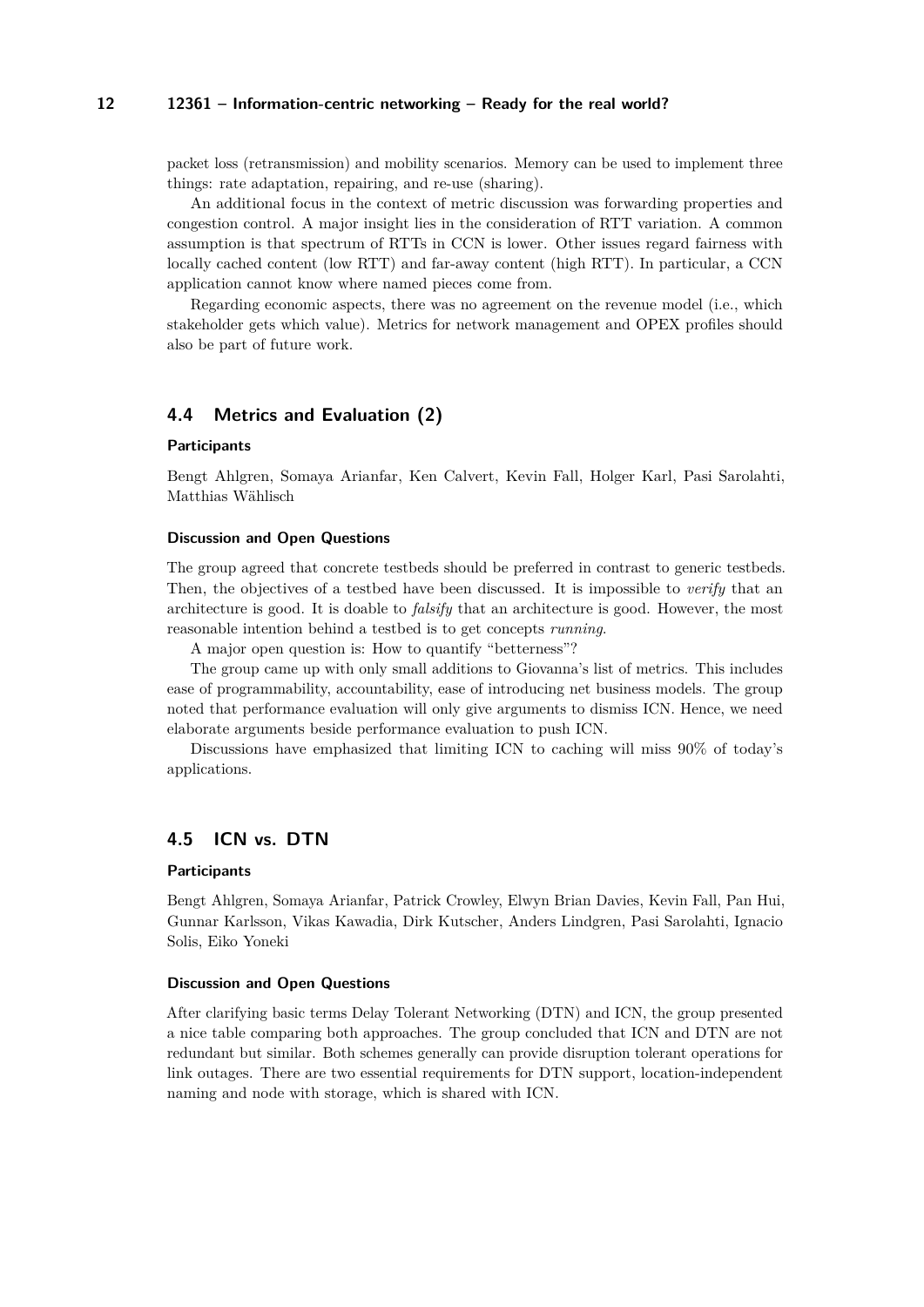#### **12 12361 – Information-centric networking – Ready for the real world?**

packet loss (retransmission) and mobility scenarios. Memory can be used to implement three things: rate adaptation, repairing, and re-use (sharing).

An additional focus in the context of metric discussion was forwarding properties and congestion control. A major insight lies in the consideration of RTT variation. A common assumption is that spectrum of RTTs in CCN is lower. Other issues regard fairness with locally cached content (low RTT) and far-away content (high RTT). In particular, a CCN application cannot know where named pieces come from.

Regarding economic aspects, there was no agreement on the revenue model (i.e., which stakeholder gets which value). Metrics for network management and OPEX profiles should also be part of future work.

# <span id="page-11-0"></span>**4.4 Metrics and Evaluation (2)**

#### **Participants**

Bengt Ahlgren, Somaya Arianfar, Ken Calvert, Kevin Fall, Holger Karl, Pasi Sarolahti, Matthias Wählisch

#### **Discussion and Open Questions**

The group agreed that concrete testbeds should be preferred in contrast to generic testbeds. Then, the objectives of a testbed have been discussed. It is impossible to *verify* that an architecture is good. It is doable to *falsify* that an architecture is good. However, the most reasonable intention behind a testbed is to get concepts *running*.

A major open question is: How to quantify "betterness"?

The group came up with only small additions to Giovanna's list of metrics. This includes ease of programmability, accountability, ease of introducing net business models. The group noted that performance evaluation will only give arguments to dismiss ICN. Hence, we need elaborate arguments beside performance evaluation to push ICN.

Discussions have emphasized that limiting ICN to caching will miss 90% of today's applications.

# <span id="page-11-1"></span>**4.5 ICN vs. DTN**

#### **Participants**

Bengt Ahlgren, Somaya Arianfar, Patrick Crowley, Elwyn Brian Davies, Kevin Fall, Pan Hui, Gunnar Karlsson, Vikas Kawadia, Dirk Kutscher, Anders Lindgren, Pasi Sarolahti, Ignacio Solis, Eiko Yoneki

#### **Discussion and Open Questions**

After clarifying basic terms Delay Tolerant Networking (DTN) and ICN, the group presented a nice table comparing both approaches. The group concluded that ICN and DTN are not redundant but similar. Both schemes generally can provide disruption tolerant operations for link outages. There are two essential requirements for DTN support, location-independent naming and node with storage, which is shared with ICN.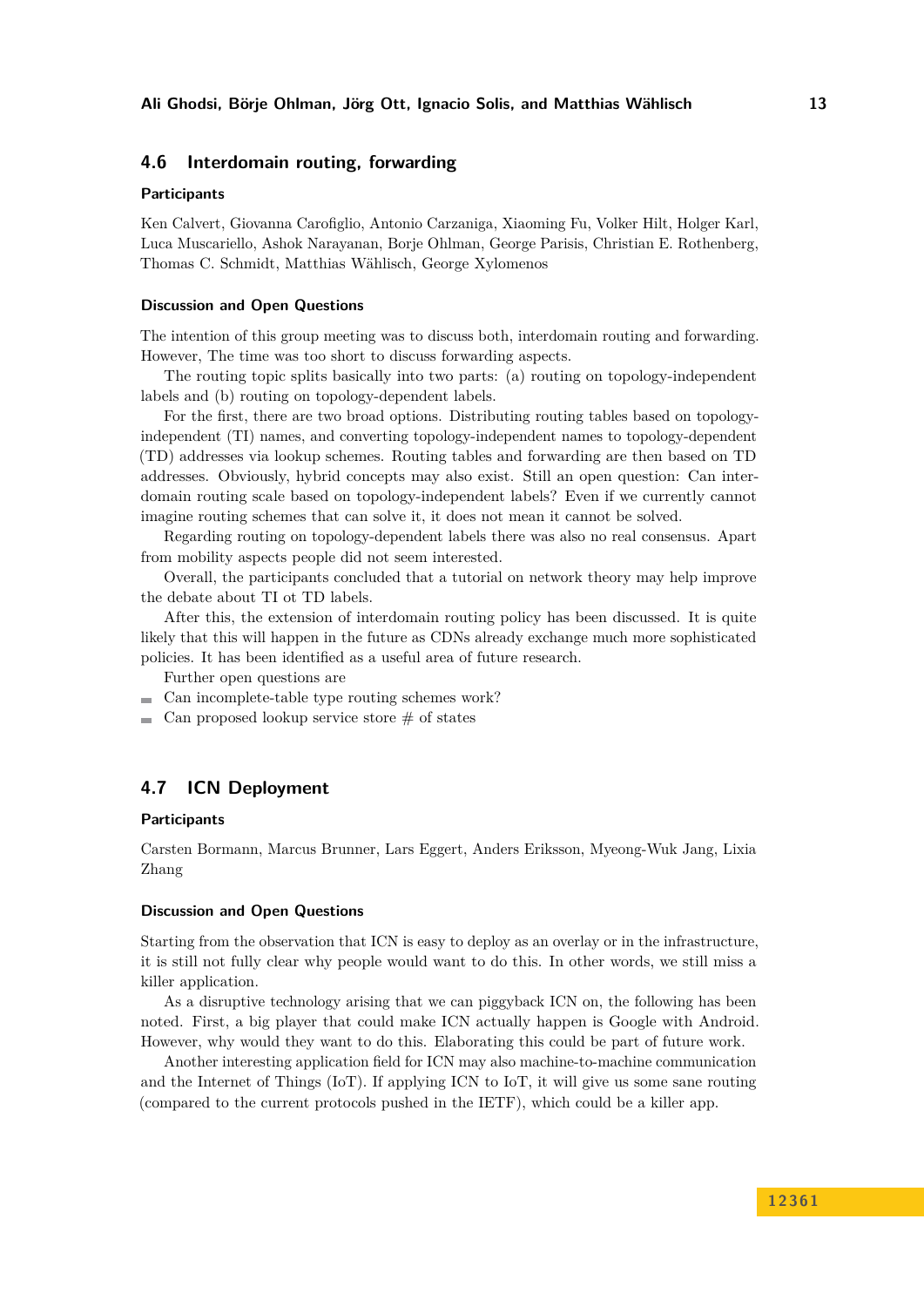## <span id="page-12-0"></span>**4.6 Interdomain routing, forwarding**

### **Participants**

Ken Calvert, Giovanna Carofiglio, Antonio Carzaniga, Xiaoming Fu, Volker Hilt, Holger Karl, Luca Muscariello, Ashok Narayanan, Borje Ohlman, George Parisis, Christian E. Rothenberg, Thomas C. Schmidt, Matthias Wählisch, George Xylomenos

#### **Discussion and Open Questions**

The intention of this group meeting was to discuss both, interdomain routing and forwarding. However, The time was too short to discuss forwarding aspects.

The routing topic splits basically into two parts: (a) routing on topology-independent labels and (b) routing on topology-dependent labels.

For the first, there are two broad options. Distributing routing tables based on topologyindependent (TI) names, and converting topology-independent names to topology-dependent (TD) addresses via lookup schemes. Routing tables and forwarding are then based on TD addresses. Obviously, hybrid concepts may also exist. Still an open question: Can interdomain routing scale based on topology-independent labels? Even if we currently cannot imagine routing schemes that can solve it, it does not mean it cannot be solved.

Regarding routing on topology-dependent labels there was also no real consensus. Apart from mobility aspects people did not seem interested.

Overall, the participants concluded that a tutorial on network theory may help improve the debate about TI ot TD labels.

After this, the extension of interdomain routing policy has been discussed. It is quite likely that this will happen in the future as CDNs already exchange much more sophisticated policies. It has been identified as a useful area of future research.

Further open questions are

Can incomplete-table type routing schemes work?

 $\blacksquare$  Can proposed lookup service store  $\#$  of states

# <span id="page-12-1"></span>**4.7 ICN Deployment**

#### **Participants**

Carsten Bormann, Marcus Brunner, Lars Eggert, Anders Eriksson, Myeong-Wuk Jang, Lixia Zhang

#### **Discussion and Open Questions**

Starting from the observation that ICN is easy to deploy as an overlay or in the infrastructure, it is still not fully clear why people would want to do this. In other words, we still miss a killer application.

As a disruptive technology arising that we can piggyback ICN on, the following has been noted. First, a big player that could make ICN actually happen is Google with Android. However, why would they want to do this. Elaborating this could be part of future work.

Another interesting application field for ICN may also machine-to-machine communication and the Internet of Things (IoT). If applying ICN to IoT, it will give us some sane routing (compared to the current protocols pushed in the IETF), which could be a killer app.